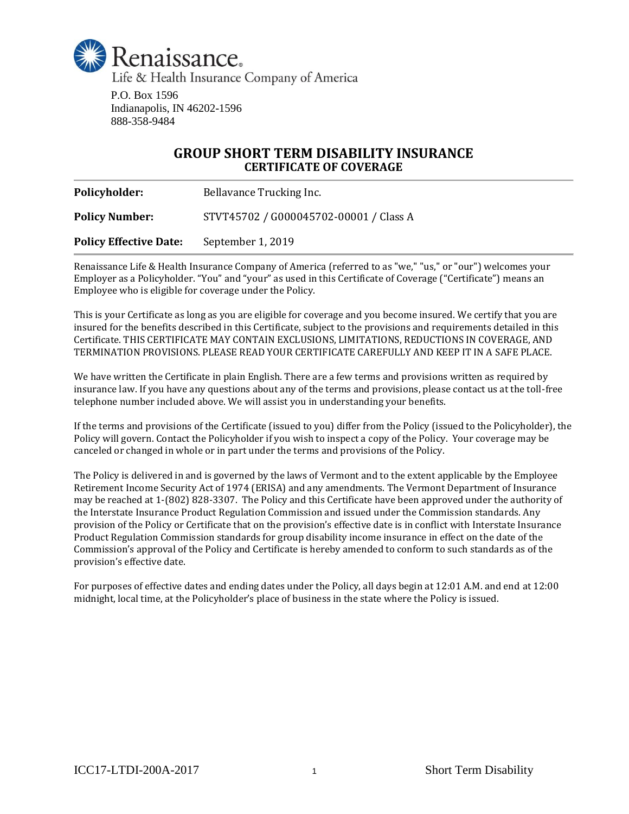

P.O. Box 1596 Indianapolis, IN 46202-1596 888-358-9484

# **GROUP SHORT TERM DISABILITY INSURANCE CERTIFICATE OF COVERAGE**

| <b>Policyholder:</b>          | Bellavance Trucking Inc.<br>STVT45702 / G000045702-00001 / Class A |  |
|-------------------------------|--------------------------------------------------------------------|--|
| <b>Policy Number:</b>         |                                                                    |  |
| <b>Policy Effective Date:</b> | September 1, 2019                                                  |  |

Renaissance Life & Health Insurance Company of America (referred to as "we," "us," or "our") welcomes your Employer as a Policyholder. "You" and "your" as used in this Certificate of Coverage ("Certificate") means an Employee who is eligible for coverage under the Policy.

This is your Certificate as long as you are eligible for coverage and you become insured. We certify that you are insured for the benefits described in this Certificate, subject to the provisions and requirements detailed in this Certificate. THIS CERTIFICATE MAY CONTAIN EXCLUSIONS, LIMITATIONS, REDUCTIONS IN COVERAGE, AND TERMINATION PROVISIONS. PLEASE READ YOUR CERTIFICATE CAREFULLY AND KEEP IT IN A SAFE PLACE.

We have written the Certificate in plain English. There are a few terms and provisions written as required by insurance law. If you have any questions about any of the terms and provisions, please contact us at the toll-free telephone number included above. We will assist you in understanding your benefits.

If the terms and provisions of the Certificate (issued to you) differ from the Policy (issued to the Policyholder), the Policy will govern. Contact the Policyholder if you wish to inspect a copy of the Policy. Your coverage may be canceled or changed in whole or in part under the terms and provisions of the Policy.

The Policy is delivered in and is governed by the laws of Vermont and to the extent applicable by the Employee Retirement Income Security Act of 1974 (ERISA) and any amendments. The Vermont Department of Insurance may be reached at 1-(802) 828-3307. The Policy and this Certificate have been approved under the authority of the Interstate Insurance Product Regulation Commission and issued under the Commission standards. Any provision of the Policy or Certificate that on the provision's effective date is in conflict with Interstate Insurance Product Regulation Commission standards for group disability income insurance in effect on the date of the Commission's approval of the Policy and Certificate is hereby amended to conform to such standards as of the provision's effective date.

For purposes of effective dates and ending dates under the Policy, all days begin at 12:01 A.M. and end at 12:00 midnight, local time, at the Policyholder's place of business in the state where the Policy is issued.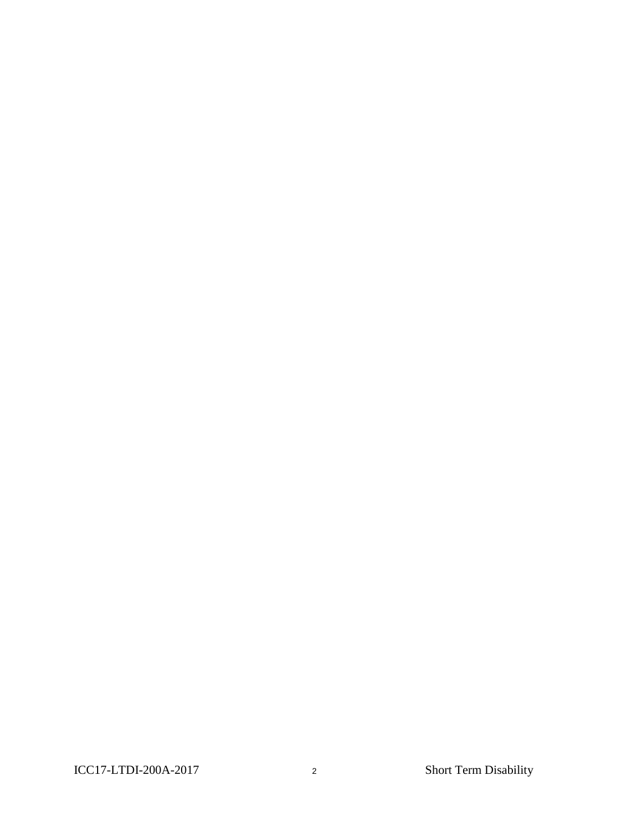ICC17-LTDI-200A-2017 <sup>2</sup> Short Term Disability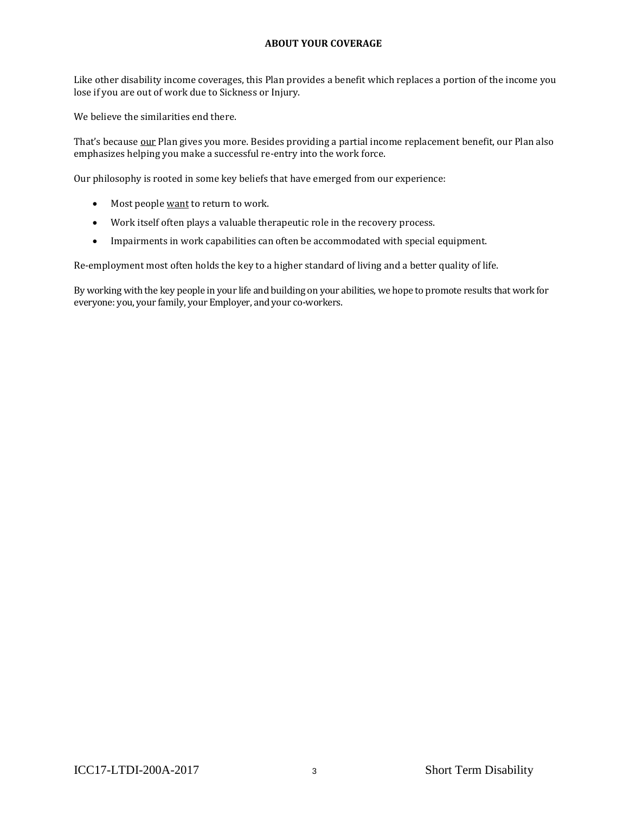## **ABOUT YOUR COVERAGE**

Like other disability income coverages, this Plan provides a benefit which replaces a portion of the income you lose if you are out of work due to Sickness or Injury.

We believe the similarities end there.

That's because our Plan gives you more. Besides providing a partial income replacement benefit, our Plan also emphasizes helping you make a successful re-entry into the work force.

Our philosophy is rooted in some key beliefs that have emerged from our experience:

- Most people want to return to work.
- Work itself often plays a valuable therapeutic role in the recovery process.
- Impairments in work capabilities can often be accommodated with special equipment.

Re-employment most often holds the key to a higher standard of living and a better quality of life.

By working with the key people in your life and building on your abilities, we hope to promote results that work for everyone: you, your family, your Employer, and your co-workers.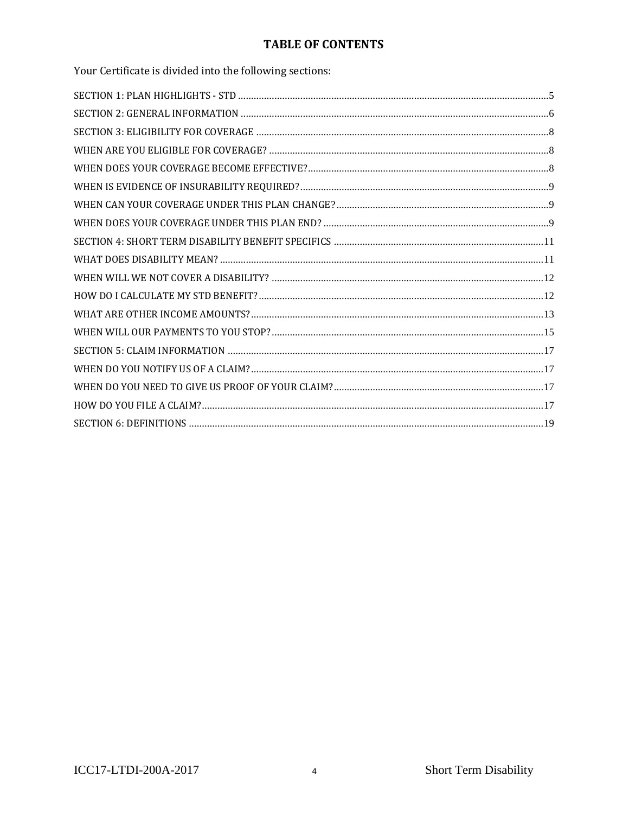# **TABLE OF CONTENTS**

Your Certificate is divided into the following sections: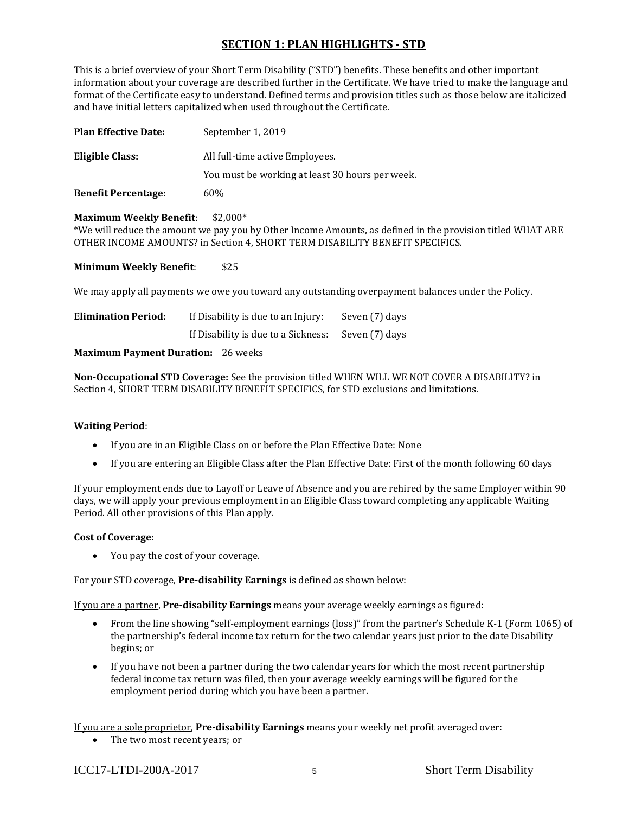# **SECTION 1: PLAN HIGHLIGHTS - STD**

<span id="page-4-0"></span>This is a brief overview of your Short Term Disability ("STD") benefits. These benefits and other important information about your coverage are described further in the Certificate. We have tried to make the language and format of the Certificate easy to understand. Defined terms and provision titles such as those below are italicized and have initial letters capitalized when used throughout the Certificate.

| <b>Plan Effective Date:</b> | September 1, 2019                               |
|-----------------------------|-------------------------------------------------|
| Eligible Class:             | All full-time active Employees.                 |
|                             | You must be working at least 30 hours per week. |
| <b>Benefit Percentage:</b>  | 60%                                             |

### **Maximum Weekly Benefit**: \$2,000\*

\*We will reduce the amount we pay you by Other Income Amounts, as defined in the provision titled WHAT ARE OTHER INCOME AMOUNTS? in Section 4, SHORT TERM DISABILITY BENEFIT SPECIFICS.

### **Minimum Weekly Benefit:** \$25

We may apply all payments we owe you toward any outstanding overpayment balances under the Policy.

| <b>Elimination Period:</b> | If Disability is due to an Injury:  | Seven (7) days |
|----------------------------|-------------------------------------|----------------|
|                            | If Disability is due to a Sickness: | Seven (7) days |

## **Maximum Payment Duration:** 26 weeks

**Non-Occupational STD Coverage:** See the provision titled WHEN WILL WE NOT COVER A DISABILITY? in Section 4, SHORT TERM DISABILITY BENEFIT SPECIFICS, for STD exclusions and limitations.

### **Waiting Period**:

- If you are in an Eligible Class on or before the Plan Effective Date: None
- If you are entering an Eligible Class after the Plan Effective Date: First of the month following 60 days

If your employment ends due to Layoff or Leave of Absence and you are rehired by the same Employer within 90 days, we will apply your previous employment in an Eligible Class toward completing any applicable Waiting Period. All other provisions of this Plan apply.

### **Cost of Coverage:**

You pay the cost of your coverage.

For your STD coverage, **Pre-disability Earnings** is defined as shown below:

If you are a partner, **Pre-disability Earnings** means your average weekly earnings as figured:

- From the line showing "self-employment earnings (loss)" from the partner's Schedule K-1 (Form 1065) of the partnership's federal income tax return for the two calendar years just prior to the date Disability begins; or
- If you have not been a partner during the two calendar years for which the most recent partnership federal income tax return was filed, then your average weekly earnings will be figured for the employment period during which you have been a partner.

If you are a sole proprietor, **Pre-disability Earnings** means your weekly net profit averaged over:

• The two most recent years; or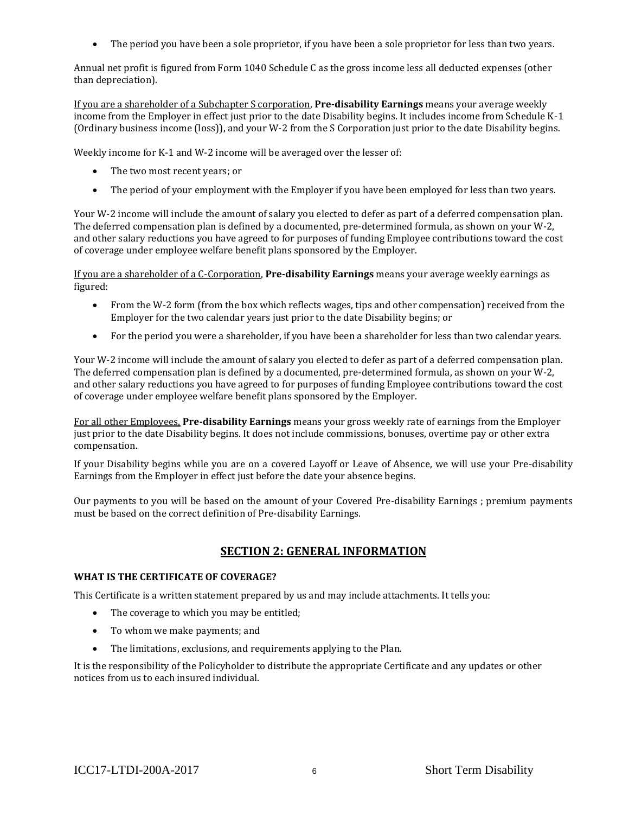The period you have been a sole proprietor, if you have been a sole proprietor for less than two years.

Annual net profit is figured from Form 1040 Schedule C as the gross income less all deducted expenses (other than depreciation).

If you are a shareholder of a Subchapter S corporation, **Pre-disability Earnings** means your average weekly income from the Employer in effect just prior to the date Disability begins. It includes income from Schedule K-1 (Ordinary business income (loss)), and your W-2 from the S Corporation just prior to the date Disability begins.

Weekly income for K-1 and W-2 income will be averaged over the lesser of:

- The two most recent years; or
- The period of your employment with the Employer if you have been employed for less than two years.

Your W-2 income will include the amount of salary you elected to defer as part of a deferred compensation plan. The deferred compensation plan is defined by a documented, pre-determined formula, as shown on your W-2, and other salary reductions you have agreed to for purposes of funding Employee contributions toward the cost of coverage under employee welfare benefit plans sponsored by the Employer.

If you are a shareholder of a C-Corporation, **Pre-disability Earnings** means your average weekly earnings as figured:

- From the W-2 form (from the box which reflects wages, tips and other compensation) received from the Employer for the two calendar years just prior to the date Disability begins; or
- For the period you were a shareholder, if you have been a shareholder for less than two calendar years.

Your W-2 income will include the amount of salary you elected to defer as part of a deferred compensation plan. The deferred compensation plan is defined by a documented, pre-determined formula, as shown on your W-2, and other salary reductions you have agreed to for purposes of funding Employee contributions toward the cost of coverage under employee welfare benefit plans sponsored by the Employer.

For all other Employees, **Pre-disability Earnings** means your gross weekly rate of earnings from the Employer just prior to the date Disability begins. It does not include commissions, bonuses, overtime pay or other extra compensation.

If your Disability begins while you are on a covered Layoff or Leave of Absence, we will use your Pre-disability Earnings from the Employer in effect just before the date your absence begins.

Our payments to you will be based on the amount of your Covered Pre-disability Earnings ; premium payments must be based on the correct definition of Pre-disability Earnings.

## **SECTION 2: GENERAL INFORMATION**

## <span id="page-5-0"></span>**WHAT IS THE CERTIFICATE OF COVERAGE?**

This Certificate is a written statement prepared by us and may include attachments. It tells you:

- The coverage to which you may be entitled;
- To whom we make payments; and
- The limitations, exclusions, and requirements applying to the Plan.

It is the responsibility of the Policyholder to distribute the appropriate Certificate and any updates or other notices from us to each insured individual.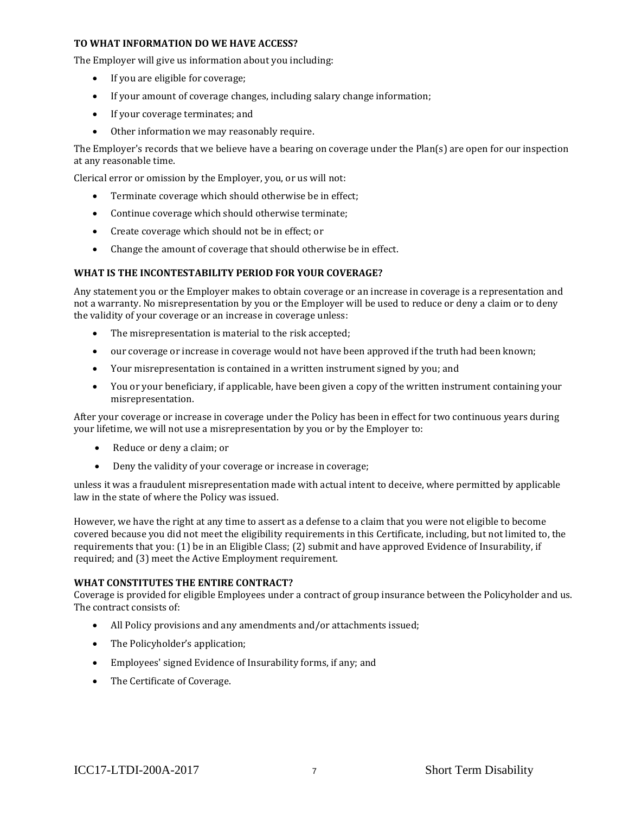### **TO WHAT INFORMATION DO WE HAVE ACCESS?**

The Employer will give us information about you including:

- If you are eligible for coverage;
- If your amount of coverage changes, including salary change information;
- If your coverage terminates; and
- Other information we may reasonably require.

The Employer's records that we believe have a bearing on coverage under the Plan(s) are open for our inspection at any reasonable time.

Clerical error or omission by the Employer, you, or us will not:

- Terminate coverage which should otherwise be in effect;
- Continue coverage which should otherwise terminate;
- Create coverage which should not be in effect; or
- Change the amount of coverage that should otherwise be in effect.

## **WHAT IS THE INCONTESTABILITY PERIOD FOR YOUR COVERAGE?**

Any statement you or the Employer makes to obtain coverage or an increase in coverage is a representation and not a warranty. No misrepresentation by you or the Employer will be used to reduce or deny a claim or to deny the validity of your coverage or an increase in coverage unless:

- The misrepresentation is material to the risk accepted;
- our coverage or increase in coverage would not have been approved if the truth had been known;
- Your misrepresentation is contained in a written instrument signed by you; and
- You or your beneficiary, if applicable, have been given a copy of the written instrument containing your misrepresentation.

After your coverage or increase in coverage under the Policy has been in effect for two continuous years during your lifetime, we will not use a misrepresentation by you or by the Employer to:

- Reduce or deny a claim; or
- Deny the validity of your coverage or increase in coverage;

unless it was a fraudulent misrepresentation made with actual intent to deceive, where permitted by applicable law in the state of where the Policy was issued.

However, we have the right at any time to assert as a defense to a claim that you were not eligible to become covered because you did not meet the eligibility requirements in this Certificate, including, but not limited to, the requirements that you: (1) be in an Eligible Class; (2) submit and have approved Evidence of Insurability, if required; and (3) meet the Active Employment requirement.

### **WHAT CONSTITUTES THE ENTIRE CONTRACT?**

Coverage is provided for eligible Employees under a contract of group insurance between the Policyholder and us. The contract consists of:

- All Policy provisions and any amendments and/or attachments issued;
- The Policyholder's application;
- Employees' signed Evidence of Insurability forms, if any; and
- The Certificate of Coverage.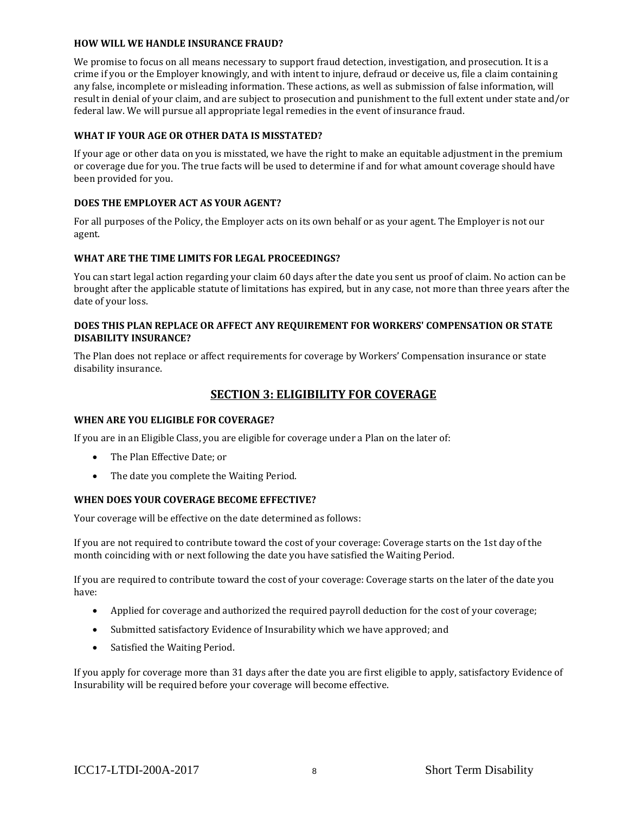#### **HOW WILL WE HANDLE INSURANCE FRAUD?**

We promise to focus on all means necessary to support fraud detection, investigation, and prosecution. It is a crime if you or the Employer knowingly, and with intent to injure, defraud or deceive us, file a claim containing any false, incomplete or misleading information. These actions, as well as submission of false information, will result in denial of your claim, and are subject to prosecution and punishment to the full extent under state and/or federal law. We will pursue all appropriate legal remedies in the event of insurance fraud.

## **WHAT IF YOUR AGE OR OTHER DATA IS MISSTATED?**

If your age or other data on you is misstated, we have the right to make an equitable adjustment in the premium or coverage due for you. The true facts will be used to determine if and for what amount coverage should have been provided for you.

## **DOES THE EMPLOYER ACT AS YOUR AGENT?**

For all purposes of the Policy, the Employer acts on its own behalf or as your agent. The Employer is not our agent.

### **WHAT ARE THE TIME LIMITS FOR LEGAL PROCEEDINGS?**

You can start legal action regarding your claim 60 days after the date you sent us proof of claim. No action can be brought after the applicable statute of limitations has expired, but in any case, not more than three years after the date of your loss.

### **DOES THIS PLAN REPLACE OR AFFECT ANY REQUIREMENT FOR WORKERS' COMPENSATION OR STATE DISABILITY INSURANCE?**

The Plan does not replace or affect requirements for coverage by Workers' Compensation insurance or state disability insurance.

## **SECTION 3: ELIGIBILITY FOR COVERAGE**

### <span id="page-7-1"></span><span id="page-7-0"></span>**WHEN ARE YOU ELIGIBLE FOR COVERAGE?**

If you are in an Eligible Class, you are eligible for coverage under a Plan on the later of:

- The Plan Effective Date; or
- The date you complete the Waiting Period.

### <span id="page-7-2"></span>**WHEN DOES YOUR COVERAGE BECOME EFFECTIVE?**

Your coverage will be effective on the date determined as follows:

If you are not required to contribute toward the cost of your coverage: Coverage starts on the 1st day of the month coinciding with or next following the date you have satisfied the Waiting Period.

If you are required to contribute toward the cost of your coverage: Coverage starts on the later of the date you have:

- Applied for coverage and authorized the required payroll deduction for the cost of your coverage;
- Submitted satisfactory Evidence of Insurability which we have approved; and
- Satisfied the Waiting Period.

If you apply for coverage more than 31 days after the date you are first eligible to apply, satisfactory Evidence of Insurability will be required before your coverage will become effective.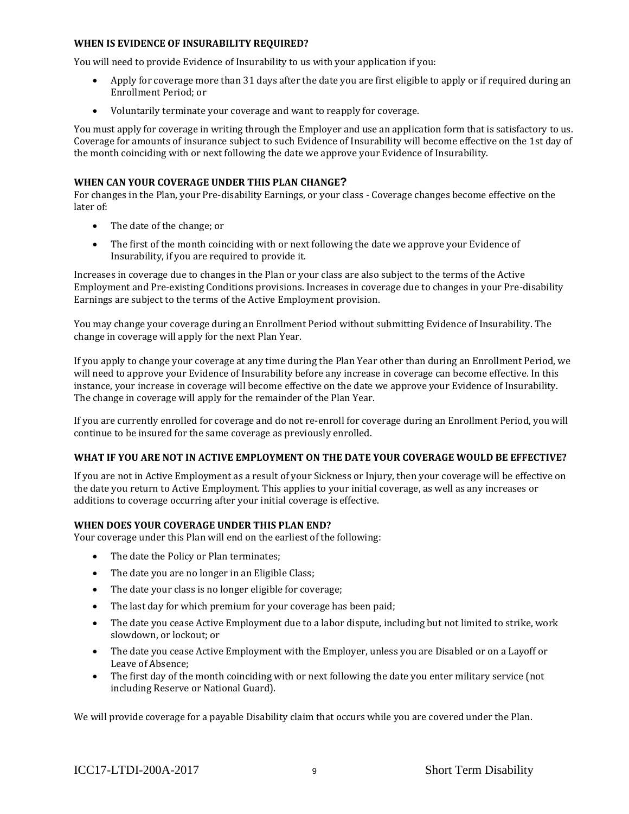#### <span id="page-8-0"></span>**WHEN IS EVIDENCE OF INSURABILITY REQUIRED?**

You will need to provide Evidence of Insurability to us with your application if you:

- Apply for coverage more than 31 days after the date you are first eligible to apply or if required during an Enrollment Period; or
- Voluntarily terminate your coverage and want to reapply for coverage.

You must apply for coverage in writing through the Employer and use an application form that is satisfactory to us. Coverage for amounts of insurance subject to such Evidence of Insurability will become effective on the 1st day of the month coinciding with or next following the date we approve your Evidence of Insurability.

## <span id="page-8-1"></span>**WHEN CAN YOUR COVERAGE UNDER THIS PLAN CHANGE?**

For changes in the Plan, your Pre-disability Earnings, or your class - Coverage changes become effective on the later of:

- The date of the change; or
- The first of the month coinciding with or next following the date we approve your Evidence of Insurability, if you are required to provide it.

Increases in coverage due to changes in the Plan or your class are also subject to the terms of the Active Employment and Pre-existing Conditions provisions. Increases in coverage due to changes in your Pre-disability Earnings are subject to the terms of the Active Employment provision.

You may change your coverage during an Enrollment Period without submitting Evidence of Insurability. The change in coverage will apply for the next Plan Year.

If you apply to change your coverage at any time during the Plan Year other than during an Enrollment Period, we will need to approve your Evidence of Insurability before any increase in coverage can become effective. In this instance, your increase in coverage will become effective on the date we approve your Evidence of Insurability. The change in coverage will apply for the remainder of the Plan Year.

If you are currently enrolled for coverage and do not re-enroll for coverage during an Enrollment Period, you will continue to be insured for the same coverage as previously enrolled.

## **WHAT IF YOU ARE NOT IN ACTIVE EMPLOYMENT ON THE DATE YOUR COVERAGE WOULD BE EFFECTIVE?**

If you are not in Active Employment as a result of your Sickness or Injury, then your coverage will be effective on the date you return to Active Employment. This applies to your initial coverage, as well as any increases or additions to coverage occurring after your initial coverage is effective.

## <span id="page-8-2"></span>**WHEN DOES YOUR COVERAGE UNDER THIS PLAN END?**

Your coverage under this Plan will end on the earliest of the following:

- The date the Policy or Plan terminates;
- The date you are no longer in an Eligible Class;
- The date your class is no longer eligible for coverage;
- The last day for which premium for your coverage has been paid;
- The date you cease Active Employment due to a labor dispute, including but not limited to strike, work slowdown, or lockout; or
- The date you cease Active Employment with the Employer, unless you are Disabled or on a Layoff or Leave of Absence;
- The first day of the month coinciding with or next following the date you enter military service (not including Reserve or National Guard).

We will provide coverage for a payable Disability claim that occurs while you are covered under the Plan.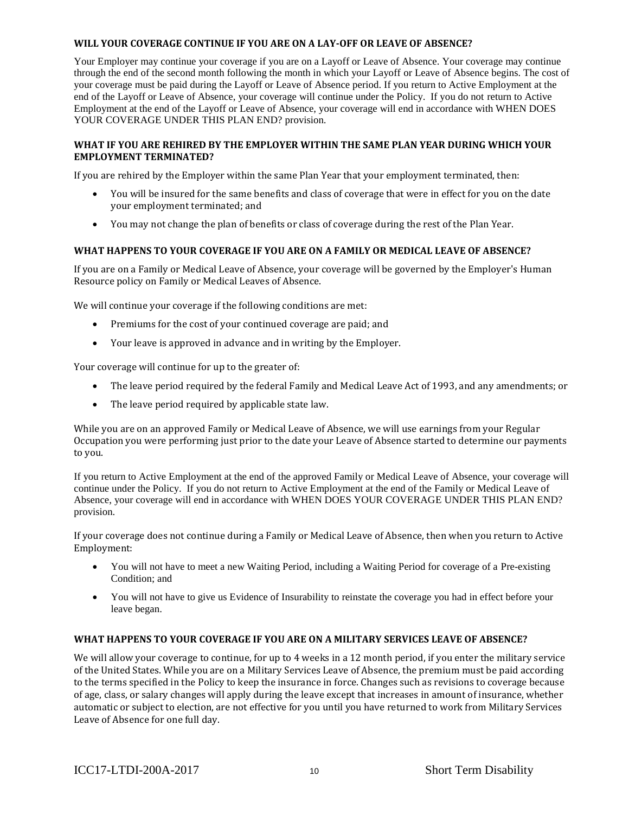### **WILL YOUR COVERAGE CONTINUE IF YOU ARE ON A LAY-OFF OR LEAVE OF ABSENCE?**

Your Employer may continue your coverage if you are on a Layoff or Leave of Absence. Your coverage may continue through the end of the second month following the month in which your Layoff or Leave of Absence begins. The cost of your coverage must be paid during the Layoff or Leave of Absence period. If you return to Active Employment at the end of the Layoff or Leave of Absence, your coverage will continue under the Policy. If you do not return to Active Employment at the end of the Layoff or Leave of Absence, your coverage will end in accordance with WHEN DOES YOUR COVERAGE UNDER THIS PLAN END? provision.

## **WHAT IF YOU ARE REHIRED BY THE EMPLOYER WITHIN THE SAME PLAN YEAR DURING WHICH YOUR EMPLOYMENT TERMINATED?**

If you are rehired by the Employer within the same Plan Year that your employment terminated, then:

- You will be insured for the same benefits and class of coverage that were in effect for you on the date your employment terminated; and
- You may not change the plan of benefits or class of coverage during the rest of the Plan Year.

## **WHAT HAPPENS TO YOUR COVERAGE IF YOU ARE ON A FAMILY OR MEDICAL LEAVE OF ABSENCE?**

If you are on a Family or Medical Leave of Absence, your coverage will be governed by the Employer's Human Resource policy on Family or Medical Leaves of Absence.

We will continue your coverage if the following conditions are met:

- Premiums for the cost of your continued coverage are paid; and
- Your leave is approved in advance and in writing by the Employer.

Your coverage will continue for up to the greater of:

- The leave period required by the federal Family and Medical Leave Act of 1993, and any amendments; or
- The leave period required by applicable state law.

While you are on an approved Family or Medical Leave of Absence, we will use earnings from your Regular Occupation you were performing just prior to the date your Leave of Absence started to determine our payments to you.

If you return to Active Employment at the end of the approved Family or Medical Leave of Absence, your coverage will continue under the Policy. If you do not return to Active Employment at the end of the Family or Medical Leave of Absence, your coverage will end in accordance with WHEN DOES YOUR COVERAGE UNDER THIS PLAN END? provision.

If your coverage does not continue during a Family or Medical Leave of Absence, then when you return to Active Employment:

- You will not have to meet a new Waiting Period, including a Waiting Period for coverage of a Pre-existing Condition; and
- You will not have to give us Evidence of Insurability to reinstate the coverage you had in effect before your leave began.

## **WHAT HAPPENS TO YOUR COVERAGE IF YOU ARE ON A MILITARY SERVICES LEAVE OF ABSENCE?**

We will allow your coverage to continue, for up to 4 weeks in a 12 month period, if you enter the military service of the United States. While you are on a Military Services Leave of Absence, the premium must be paid according to the terms specified in the Policy to keep the insurance in force. Changes such as revisions to coverage because of age, class, or salary changes will apply during the leave except that increases in amount of insurance, whether automatic or subject to election, are not effective for you until you have returned to work from Military Services Leave of Absence for one full day.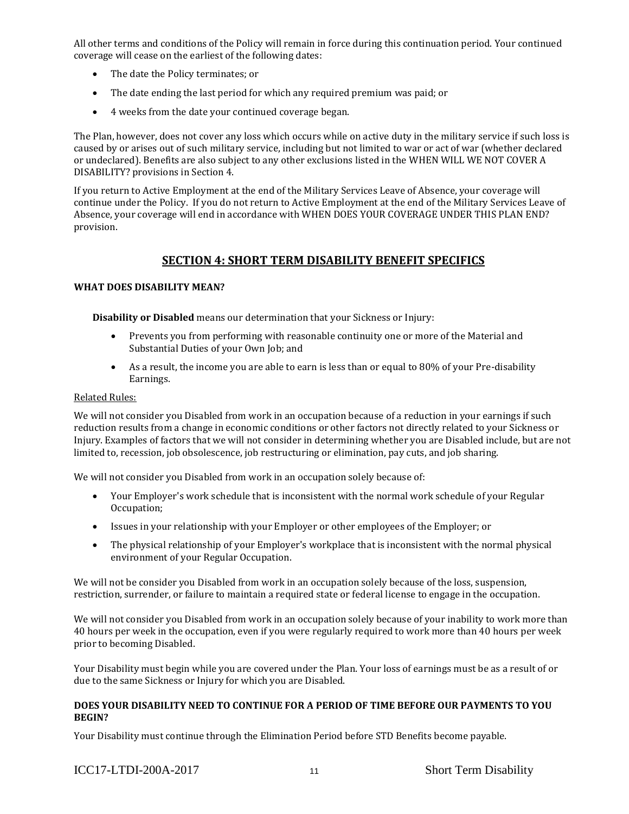All other terms and conditions of the Policy will remain in force during this continuation period. Your continued coverage will cease on the earliest of the following dates:

- The date the Policy terminates; or
- The date ending the last period for which any required premium was paid; or
- 4 weeks from the date your continued coverage began.

The Plan, however, does not cover any loss which occurs while on active duty in the military service if such loss is caused by or arises out of such military service, including but not limited to war or act of war (whether declared or undeclared). Benefits are also subject to any other exclusions listed in the WHEN WILL WE NOT COVER A DISABILITY? provisions in Section 4.

If you return to Active Employment at the end of the Military Services Leave of Absence, your coverage will continue under the Policy. If you do not return to Active Employment at the end of the Military Services Leave of Absence, your coverage will end in accordance with WHEN DOES YOUR COVERAGE UNDER THIS PLAN END? provision.

# **SECTION 4: SHORT TERM DISABILITY BENEFIT SPECIFICS**

## <span id="page-10-1"></span><span id="page-10-0"></span>**WHAT DOES DISABILITY MEAN?**

**Disability or Disabled** means our determination that your Sickness or Injury:

- Prevents you from performing with reasonable continuity one or more of the Material and Substantial Duties of your Own Job; and
- As a result, the income you are able to earn is less than or equal to 80% of your Pre-disability Earnings.

## Related Rules:

We will not consider you Disabled from work in an occupation because of a reduction in your earnings if such reduction results from a change in economic conditions or other factors not directly related to your Sickness or Injury. Examples of factors that we will not consider in determining whether you are Disabled include, but are not limited to, recession, job obsolescence, job restructuring or elimination, pay cuts, and job sharing.

We will not consider you Disabled from work in an occupation solely because of:

- Your Employer's work schedule that is inconsistent with the normal work schedule of your Regular Occupation;
- Issues in your relationship with your Employer or other employees of the Employer; or
- The physical relationship of your Employer's workplace that is inconsistent with the normal physical environment of your Regular Occupation.

We will not be consider you Disabled from work in an occupation solely because of the loss, suspension, restriction, surrender, or failure to maintain a required state or federal license to engage in the occupation.

We will not consider you Disabled from work in an occupation solely because of your inability to work more than 40 hours per week in the occupation, even if you were regularly required to work more than 40 hours per week prior to becoming Disabled.

Your Disability must begin while you are covered under the Plan. Your loss of earnings must be as a result of or due to the same Sickness or Injury for which you are Disabled.

### **DOES YOUR DISABILITY NEED TO CONTINUE FOR A PERIOD OF TIME BEFORE OUR PAYMENTS TO YOU BEGIN?**

Your Disability must continue through the Elimination Period before STD Benefits become payable.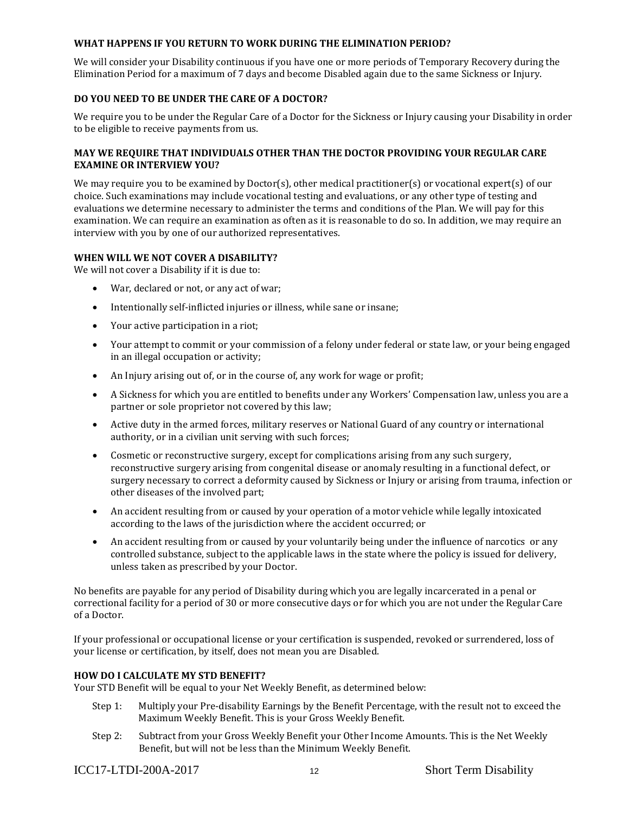### **WHAT HAPPENS IF YOU RETURN TO WORK DURING THE ELIMINATION PERIOD?**

We will consider your Disability continuous if you have one or more periods of Temporary Recovery during the Elimination Period for a maximum of 7 days and become Disabled again due to the same Sickness or Injury.

## **DO YOU NEED TO BE UNDER THE CARE OF A DOCTOR?**

We require you to be under the Regular Care of a Doctor for the Sickness or Injury causing your Disability in order to be eligible to receive payments from us.

## **MAY WE REQUIRE THAT INDIVIDUALS OTHER THAN THE DOCTOR PROVIDING YOUR REGULAR CARE EXAMINE OR INTERVIEW YOU?**

We may require you to be examined by Doctor(s), other medical practitioner(s) or vocational expert(s) of our choice. Such examinations may include vocational testing and evaluations, or any other type of testing and evaluations we determine necessary to administer the terms and conditions of the Plan. We will pay for this examination. We can require an examination as often as it is reasonable to do so. In addition, we may require an interview with you by one of our authorized representatives.

## <span id="page-11-0"></span>**WHEN WILL WE NOT COVER A DISABILITY?**

We will not cover a Disability if it is due to:

- War, declared or not, or any act of war;
- Intentionally self-inflicted injuries or illness, while sane or insane;
- Your active participation in a riot;
- Your attempt to commit or your commission of a felony under federal or state law, or your being engaged in an illegal occupation or activity;
- An Injury arising out of, or in the course of, any work for wage or profit;
- A Sickness for which you are entitled to benefits under any Workers' Compensation law, unless you are a partner or sole proprietor not covered by this law;
- Active duty in the armed forces, military reserves or National Guard of any country or international authority, or in a civilian unit serving with such forces;
- Cosmetic or reconstructive surgery, except for complications arising from any such surgery, reconstructive surgery arising from congenital disease or anomaly resulting in a functional defect, or surgery necessary to correct a deformity caused by Sickness or Injury or arising from trauma, infection or other diseases of the involved part;
- An accident resulting from or caused by your operation of a motor vehicle while legally intoxicated according to the laws of the jurisdiction where the accident occurred; or
- An accident resulting from or caused by your voluntarily being under the influence of narcotics or any controlled substance, subject to the applicable laws in the state where the policy is issued for delivery, unless taken as prescribed by your Doctor.

No benefits are payable for any period of Disability during which you are legally incarcerated in a penal or correctional facility for a period of 30 or more consecutive days or for which you are not under the Regular Care of a Doctor.

If your professional or occupational license or your certification is suspended, revoked or surrendered, loss of your license or certification, by itself, does not mean you are Disabled.

### <span id="page-11-1"></span>**HOW DO I CALCULATE MY STD BENEFIT?**

Your STD Benefit will be equal to your Net Weekly Benefit, as determined below:

- Step 1: Multiply your Pre-disability Earnings by the Benefit Percentage, with the result not to exceed the Maximum Weekly Benefit. This is your Gross Weekly Benefit.
- Step 2: Subtract from your Gross Weekly Benefit your Other Income Amounts. This is the Net Weekly Benefit, but will not be less than the Minimum Weekly Benefit.

ICC17-LTDI-200A-2017 12 Short Term Disability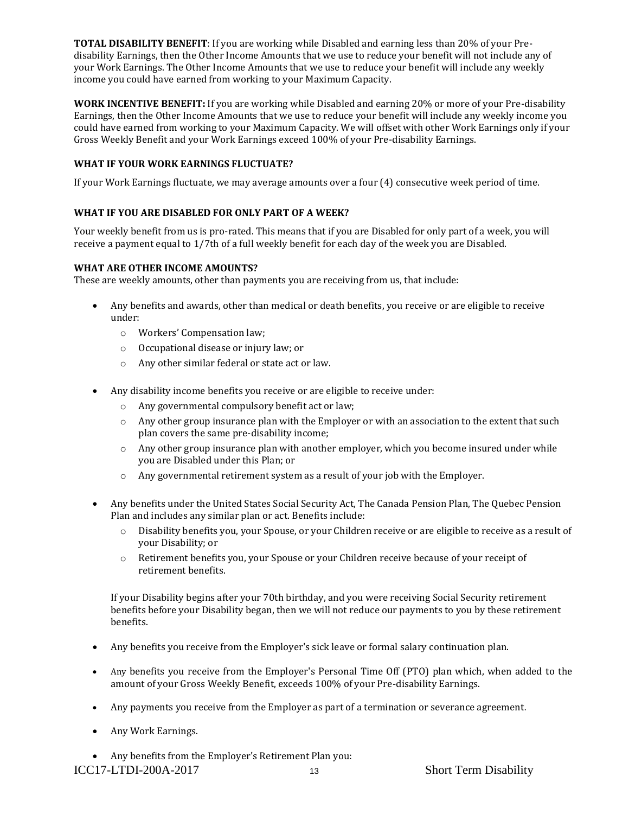**TOTAL DISABILITY BENEFIT**: If you are working while Disabled and earning less than 20% of your Predisability Earnings, then the Other Income Amounts that we use to reduce your benefit will not include any of your Work Earnings. The Other Income Amounts that we use to reduce your benefit will include any weekly income you could have earned from working to your Maximum Capacity.

**WORK INCENTIVE BENEFIT:** If you are working while Disabled and earning 20% or more of your Pre-disability Earnings, then the Other Income Amounts that we use to reduce your benefit will include any weekly income you could have earned from working to your Maximum Capacity. We will offset with other Work Earnings only if your Gross Weekly Benefit and your Work Earnings exceed 100% of your Pre-disability Earnings.

## **WHAT IF YOUR WORK EARNINGS FLUCTUATE?**

If your Work Earnings fluctuate, we may average amounts over a four (4) consecutive week period of time.

## **WHAT IF YOU ARE DISABLED FOR ONLY PART OF A WEEK?**

Your weekly benefit from us is pro-rated. This means that if you are Disabled for only part of a week, you will receive a payment equal to 1/7th of a full weekly benefit for each day of the week you are Disabled.

## <span id="page-12-0"></span>**WHAT ARE OTHER INCOME AMOUNTS?**

These are weekly amounts, other than payments you are receiving from us, that include:

- Any benefits and awards, other than medical or death benefits, you receive or are eligible to receive under:
	- o Workers' Compensation law;
	- o Occupational disease or injury law; or
	- o Any other similar federal or state act or law.
- Any disability income benefits you receive or are eligible to receive under:
	- o Any governmental compulsory benefit act or law;
	- o Any other group insurance plan with the Employer or with an association to the extent that such plan covers the same pre-disability income;
	- $\circ$  Any other group insurance plan with another employer, which you become insured under while you are Disabled under this Plan; or
	- o Any governmental retirement system as a result of your job with the Employer.
- Any benefits under the United States Social Security Act, The Canada Pension Plan, The Quebec Pension Plan and includes any similar plan or act. Benefits include:
	- o Disability benefits you, your Spouse, or your Children receive or are eligible to receive as a result of your Disability; or
	- o Retirement benefits you, your Spouse or your Children receive because of your receipt of retirement benefits.

If your Disability begins after your 70th birthday, and you were receiving Social Security retirement benefits before your Disability began, then we will not reduce our payments to you by these retirement benefits.

- Any benefits you receive from the Employer's sick leave or formal salary continuation plan.
- Any benefits you receive from the Employer's Personal Time Off (PTO) plan which, when added to the amount of your Gross Weekly Benefit, exceeds 100% of your Pre-disability Earnings.
- Any payments you receive from the Employer as part of a termination or severance agreement.
- Any Work Earnings.
- Any benefits from the Employer's Retirement Plan you:

ICC17-LTDI-200A-2017 <sup>13</sup> Short Term Disability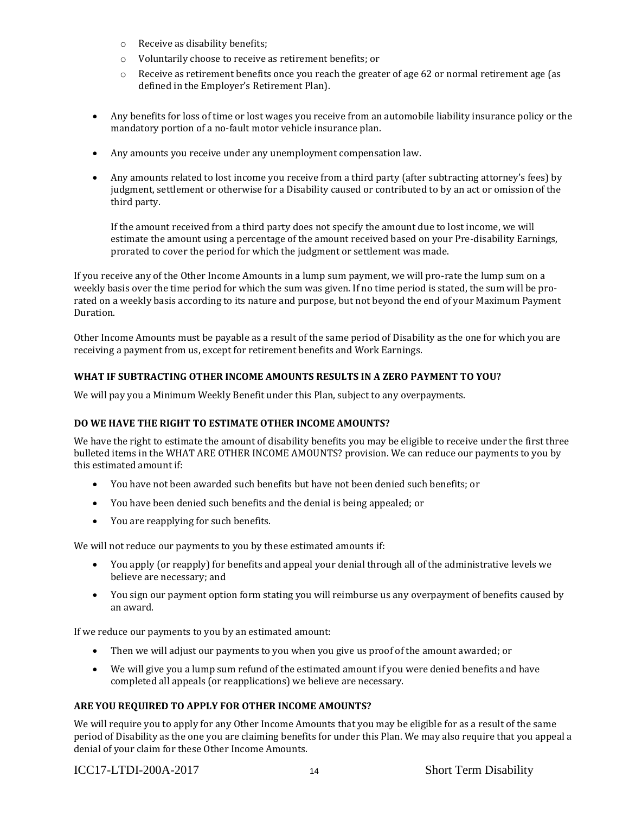- o Receive as disability benefits;
- o Voluntarily choose to receive as retirement benefits; or
- o Receive as retirement benefits once you reach the greater of age 62 or normal retirement age (as defined in the Employer's Retirement Plan).
- Any benefits for loss of time or lost wages you receive from an automobile liability insurance policy or the mandatory portion of a no-fault motor vehicle insurance plan.
- Any amounts you receive under any unemployment compensation law.
- Any amounts related to lost income you receive from a third party (after subtracting attorney's fees) by judgment, settlement or otherwise for a Disability caused or contributed to by an act or omission of the third party.

If the amount received from a third party does not specify the amount due to lost income, we will estimate the amount using a percentage of the amount received based on your Pre-disability Earnings, prorated to cover the period for which the judgment or settlement was made.

If you receive any of the Other Income Amounts in a lump sum payment, we will pro-rate the lump sum on a weekly basis over the time period for which the sum was given. If no time period is stated, the sum will be prorated on a weekly basis according to its nature and purpose, but not beyond the end of your Maximum Payment Duration.

Other Income Amounts must be payable as a result of the same period of Disability as the one for which you are receiving a payment from us, except for retirement benefits and Work Earnings.

## **WHAT IF SUBTRACTING OTHER INCOME AMOUNTS RESULTS IN A ZERO PAYMENT TO YOU?**

We will pay you a Minimum Weekly Benefit under this Plan, subject to any overpayments.

### **DO WE HAVE THE RIGHT TO ESTIMATE OTHER INCOME AMOUNTS?**

We have the right to estimate the amount of disability benefits you may be eligible to receive under the first three bulleted items in the WHAT ARE OTHER INCOME AMOUNTS? provision. We can reduce our payments to you by this estimated amount if:

- You have not been awarded such benefits but have not been denied such benefits; or
- You have been denied such benefits and the denial is being appealed; or
- You are reapplying for such benefits.

We will not reduce our payments to you by these estimated amounts if:

- You apply (or reapply) for benefits and appeal your denial through all of the administrative levels we believe are necessary; and
- You sign our payment option form stating you will reimburse us any overpayment of benefits caused by an award.

If we reduce our payments to you by an estimated amount:

- Then we will adjust our payments to you when you give us proof of the amount awarded; or
- We will give you a lump sum refund of the estimated amount if you were denied benefits and have completed all appeals (or reapplications) we believe are necessary.

### **ARE YOU REQUIRED TO APPLY FOR OTHER INCOME AMOUNTS?**

We will require you to apply for any Other Income Amounts that you may be eligible for as a result of the same period of Disability as the one you are claiming benefits for under this Plan. We may also require that you appeal a denial of your claim for these Other Income Amounts.

ICC17-LTDI-200A-2017 14 Short Term Disability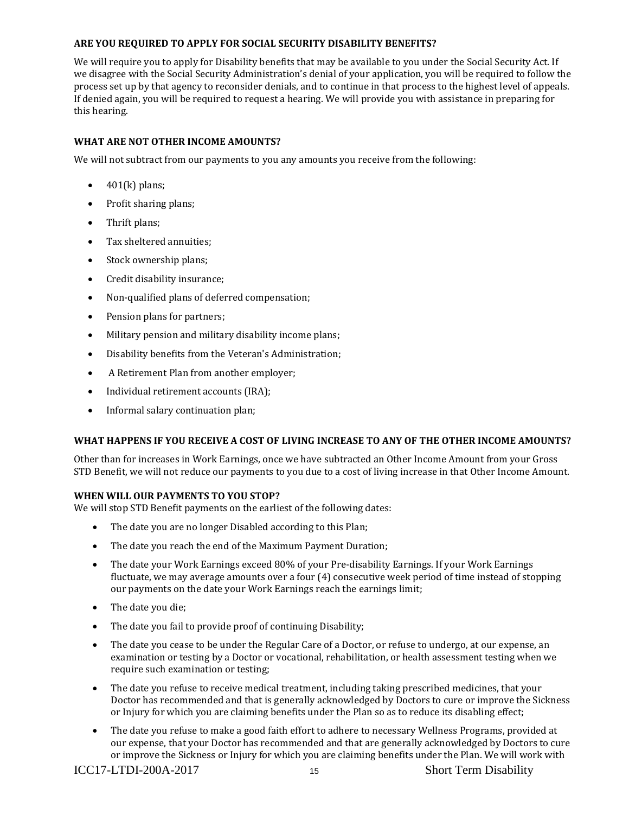## **ARE YOU REQUIRED TO APPLY FOR SOCIAL SECURITY DISABILITY BENEFITS?**

We will require you to apply for Disability benefits that may be available to you under the Social Security Act. If we disagree with the Social Security Administration's denial of your application, you will be required to follow the process set up by that agency to reconsider denials, and to continue in that process to the highest level of appeals. If denied again, you will be required to request a hearing. We will provide you with assistance in preparing for this hearing.

## **WHAT ARE NOT OTHER INCOME AMOUNTS?**

We will not subtract from our payments to you any amounts you receive from the following:

- $\bullet$  401(k) plans;
- Profit sharing plans;
- Thrift plans;
- Tax sheltered annuities:
- Stock ownership plans;
- Credit disability insurance;
- Non-qualified plans of deferred compensation;
- Pension plans for partners;
- Military pension and military disability income plans;
- Disability benefits from the Veteran's Administration;
- A Retirement Plan from another employer;
- Individual retirement accounts (IRA);
- Informal salary continuation plan;

### **WHAT HAPPENS IF YOU RECEIVE A COST OF LIVING INCREASE TO ANY OF THE OTHER INCOME AMOUNTS?**

Other than for increases in Work Earnings, once we have subtracted an Other Income Amount from your Gross STD Benefit, we will not reduce our payments to you due to a cost of living increase in that Other Income Amount.

### <span id="page-14-0"></span>**WHEN WILL OUR PAYMENTS TO YOU STOP?**

We will stop STD Benefit payments on the earliest of the following dates:

- The date you are no longer Disabled according to this Plan;
- The date you reach the end of the Maximum Payment Duration;
- The date your Work Earnings exceed 80% of your Pre-disability Earnings. If your Work Earnings fluctuate, we may average amounts over a four (4) consecutive week period of time instead of stopping our payments on the date your Work Earnings reach the earnings limit;
- The date you die:
- The date you fail to provide proof of continuing Disability;
- The date you cease to be under the Regular Care of a Doctor, or refuse to undergo, at our expense, an examination or testing by a Doctor or vocational, rehabilitation, or health assessment testing when we require such examination or testing;
- The date you refuse to receive medical treatment, including taking prescribed medicines, that your Doctor has recommended and that is generally acknowledged by Doctors to cure or improve the Sickness or Injury for which you are claiming benefits under the Plan so as to reduce its disabling effect;
- The date you refuse to make a good faith effort to adhere to necessary Wellness Programs, provided at our expense, that your Doctor has recommended and that are generally acknowledged by Doctors to cure or improve the Sickness or Injury for which you are claiming benefits under the Plan. We will work with

ICC17-LTDI-200A-2017 <sup>15</sup> Short Term Disability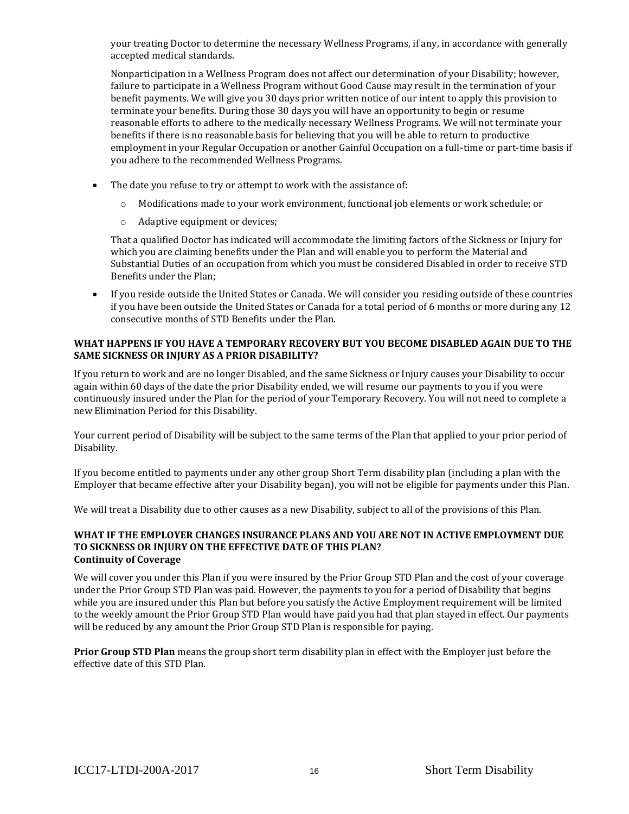your treating Doctor to determine the necessary Wellness Programs, if any, in accordance with generally accepted medical standards.

Nonparticipation in a Wellness Program does not affect our determination of your Disability; however, failure to participate in a Wellness Program without Good Cause may result in the termination of your benefit payments. We will give you 30 days prior written notice of our intent to apply this provision to terminate your benefits. During those 30 days you will have an opportunity to begin or resume reasonable efforts to adhere to the medically necessary Wellness Programs. We will not terminate your benefits if there is no reasonable basis for believing that you will be able to return to productive employment in your Regular Occupation or another Gainful Occupation on a full-time or part-time basis if you adhere to the recommended Wellness Programs.

- The date you refuse to try or attempt to work with the assistance of:
	- o Modifications made to your work environment, functional job elements or work schedule; or
	- o Adaptive equipment or devices;

That a qualified Doctor has indicated will accommodate the limiting factors of the Sickness or Injury for which you are claiming benefits under the Plan and will enable you to perform the Material and Substantial Duties of an occupation from which you must be considered Disabled in order to receive STD Benefits under the Plan;

 If you reside outside the United States or Canada. We will consider you residing outside of these countries if you have been outside the United States or Canada for a total period of 6 months or more during any 12 consecutive months of STD Benefits under the Plan.

## **WHAT HAPPENS IF YOU HAVE A TEMPORARY RECOVERY BUT YOU BECOME DISABLED AGAIN DUE TO THE SAME SICKNESS OR INJURY AS A PRIOR DISABILITY?**

If you return to work and are no longer Disabled, and the same Sickness or Injury causes your Disability to occur again within 60 days of the date the prior Disability ended, we will resume our payments to you if you were continuously insured under the Plan for the period of your Temporary Recovery. You will not need to complete a new Elimination Period for this Disability.

Your current period of Disability will be subject to the same terms of the Plan that applied to your prior period of Disability.

If you become entitled to payments under any other group Short Term disability plan (including a plan with the Employer that became effective after your Disability began), you will not be eligible for payments under this Plan.

We will treat a Disability due to other causes as a new Disability, subject to all of the provisions of this Plan.

#### **WHAT IF THE EMPLOYER CHANGES INSURANCE PLANS AND YOU ARE NOT IN ACTIVE EMPLOYMENT DUE TO SICKNESS OR INJURY ON THE EFFECTIVE DATE OF THIS PLAN? Continuity of Coverage**

We will cover you under this Plan if you were insured by the Prior Group STD Plan and the cost of your coverage under the Prior Group STD Plan was paid. However, the payments to you for a period of Disability that begins while you are insured under this Plan but before you satisfy the Active Employment requirement will be limited to the weekly amount the Prior Group STD Plan would have paid you had that plan stayed in effect. Our payments will be reduced by any amount the Prior Group STD Plan is responsible for paying.

**Prior Group STD Plan** means the group short term disability plan in effect with the Employer just before the effective date of this STD Plan.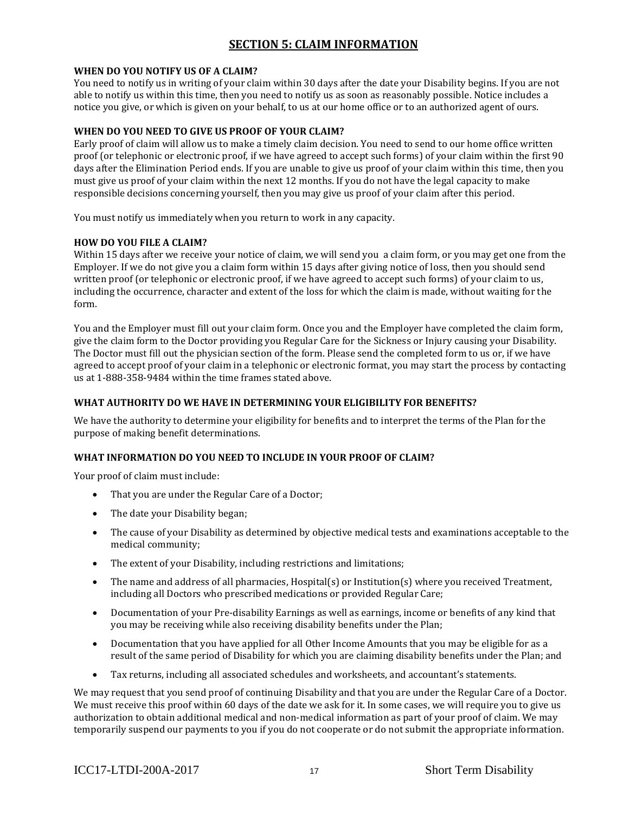# **SECTION 5: CLAIM INFORMATION**

## <span id="page-16-1"></span><span id="page-16-0"></span>**WHEN DO YOU NOTIFY US OF A CLAIM?**

You need to notify us in writing of your claim within 30 days after the date your Disability begins. If you are not able to notify us within this time, then you need to notify us as soon as reasonably possible. Notice includes a notice you give, or which is given on your behalf, to us at our home office or to an authorized agent of ours.

## <span id="page-16-2"></span>**WHEN DO YOU NEED TO GIVE US PROOF OF YOUR CLAIM?**

Early proof of claim will allow us to make a timely claim decision. You need to send to our home office written proof (or telephonic or electronic proof, if we have agreed to accept such forms) of your claim within the first 90 days after the Elimination Period ends. If you are unable to give us proof of your claim within this time, then you must give us proof of your claim within the next 12 months. If you do not have the legal capacity to make responsible decisions concerning yourself, then you may give us proof of your claim after this period.

You must notify us immediately when you return to work in any capacity.

### <span id="page-16-3"></span>**HOW DO YOU FILE A CLAIM?**

Within 15 days after we receive your notice of claim, we will send you a claim form, or you may get one from the Employer. If we do not give you a claim form within 15 days after giving notice of loss, then you should send written proof (or telephonic or electronic proof, if we have agreed to accept such forms) of your claim to us, including the occurrence, character and extent of the loss for which the claim is made, without waiting for the form.

You and the Employer must fill out your claim form. Once you and the Employer have completed the claim form, give the claim form to the Doctor providing you Regular Care for the Sickness or Injury causing your Disability. The Doctor must fill out the physician section of the form. Please send the completed form to us or, if we have agreed to accept proof of your claim in a telephonic or electronic format, you may start the process by contacting us at 1-888-358-9484 within the time frames stated above.

### **WHAT AUTHORITY DO WE HAVE IN DETERMINING YOUR ELIGIBILITY FOR BENEFITS?**

We have the authority to determine your eligibility for benefits and to interpret the terms of the Plan for the purpose of making benefit determinations.

### **WHAT INFORMATION DO YOU NEED TO INCLUDE IN YOUR PROOF OF CLAIM?**

Your proof of claim must include:

- That you are under the Regular Care of a Doctor;
- The date your Disability began;
- The cause of your Disability as determined by objective medical tests and examinations acceptable to the medical community;
- The extent of your Disability, including restrictions and limitations;
- The name and address of all pharmacies, Hospital(s) or Institution(s) where you received Treatment, including all Doctors who prescribed medications or provided Regular Care;
- Documentation of your Pre-disability Earnings as well as earnings, income or benefits of any kind that you may be receiving while also receiving disability benefits under the Plan;
- Documentation that you have applied for all Other Income Amounts that you may be eligible for as a result of the same period of Disability for which you are claiming disability benefits under the Plan; and
- Tax returns, including all associated schedules and worksheets, and accountant's statements.

We may request that you send proof of continuing Disability and that you are under the Regular Care of a Doctor. We must receive this proof within 60 days of the date we ask for it. In some cases, we will require you to give us authorization to obtain additional medical and non-medical information as part of your proof of claim. We may temporarily suspend our payments to you if you do not cooperate or do not submit the appropriate information.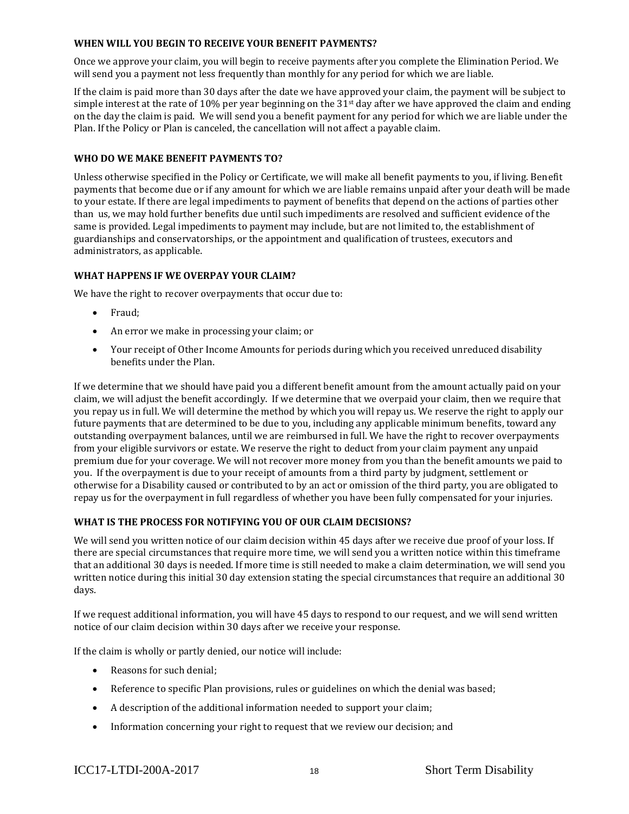### **WHEN WILL YOU BEGIN TO RECEIVE YOUR BENEFIT PAYMENTS?**

Once we approve your claim, you will begin to receive payments after you complete the Elimination Period. We will send you a payment not less frequently than monthly for any period for which we are liable.

If the claim is paid more than 30 days after the date we have approved your claim, the payment will be subject to simple interest at the rate of 10% per year beginning on the  $31<sup>st</sup>$  day after we have approved the claim and ending on the day the claim is paid. We will send you a benefit payment for any period for which we are liable under the Plan. If the Policy or Plan is canceled, the cancellation will not affect a payable claim.

## **WHO DO WE MAKE BENEFIT PAYMENTS TO?**

Unless otherwise specified in the Policy or Certificate, we will make all benefit payments to you, if living. Benefit payments that become due or if any amount for which we are liable remains unpaid after your death will be made to your estate. If there are legal impediments to payment of benefits that depend on the actions of parties other than us, we may hold further benefits due until such impediments are resolved and sufficient evidence of the same is provided. Legal impediments to payment may include, but are not limited to, the establishment of guardianships and conservatorships, or the appointment and qualification of trustees, executors and administrators, as applicable.

## **WHAT HAPPENS IF WE OVERPAY YOUR CLAIM?**

We have the right to recover overpayments that occur due to:

- Fraud:
- An error we make in processing your claim; or
- Your receipt of Other Income Amounts for periods during which you received unreduced disability benefits under the Plan.

If we determine that we should have paid you a different benefit amount from the amount actually paid on your claim, we will adjust the benefit accordingly. If we determine that we overpaid your claim, then we require that you repay us in full. We will determine the method by which you will repay us. We reserve the right to apply our future payments that are determined to be due to you, including any applicable minimum benefits, toward any outstanding overpayment balances, until we are reimbursed in full. We have the right to recover overpayments from your eligible survivors or estate. We reserve the right to deduct from your claim payment any unpaid premium due for your coverage. We will not recover more money from you than the benefit amounts we paid to you. If the overpayment is due to your receipt of amounts from a third party by judgment, settlement or otherwise for a Disability caused or contributed to by an act or omission of the third party, you are obligated to repay us for the overpayment in full regardless of whether you have been fully compensated for your injuries.

## **WHAT IS THE PROCESS FOR NOTIFYING YOU OF OUR CLAIM DECISIONS?**

We will send you written notice of our claim decision within 45 days after we receive due proof of your loss. If there are special circumstances that require more time, we will send you a written notice within this timeframe that an additional 30 days is needed. If more time is still needed to make a claim determination, we will send you written notice during this initial 30 day extension stating the special circumstances that require an additional 30 days.

If we request additional information, you will have 45 days to respond to our request, and we will send written notice of our claim decision within 30 days after we receive your response.

If the claim is wholly or partly denied, our notice will include:

- Reasons for such denial:
- Reference to specific Plan provisions, rules or guidelines on which the denial was based;
- A description of the additional information needed to support your claim;
- Information concerning your right to request that we review our decision; and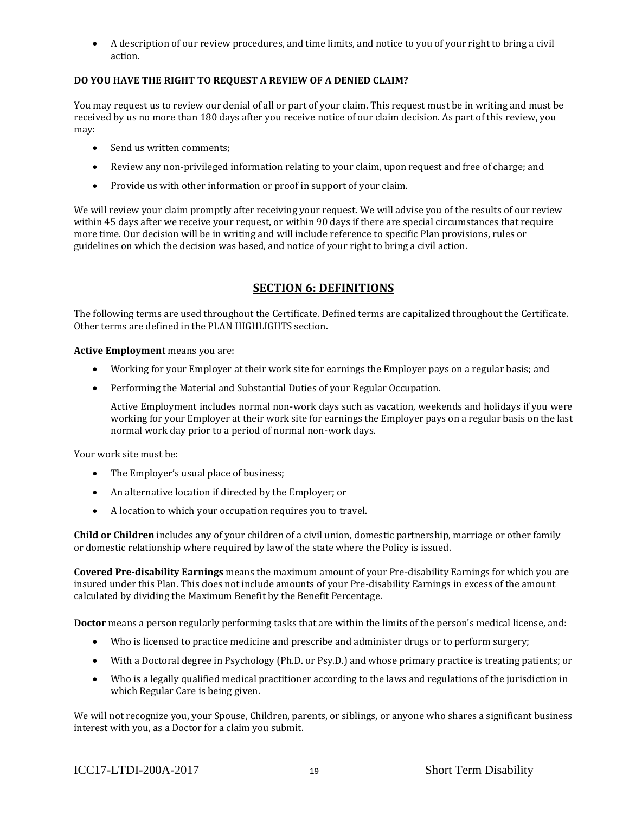A description of our review procedures, and time limits, and notice to you of your right to bring a civil action.

## **DO YOU HAVE THE RIGHT TO REQUEST A REVIEW OF A DENIED CLAIM?**

You may request us to review our denial of all or part of your claim. This request must be in writing and must be received by us no more than 180 days after you receive notice of our claim decision. As part of this review, you may:

- Send us written comments;
- Review any non-privileged information relating to your claim, upon request and free of charge; and
- Provide us with other information or proof in support of your claim.

We will review your claim promptly after receiving your request. We will advise you of the results of our review within 45 days after we receive your request, or within 90 days if there are special circumstances that require more time. Our decision will be in writing and will include reference to specific Plan provisions, rules or guidelines on which the decision was based, and notice of your right to bring a civil action.

# **SECTION 6: DEFINITIONS**

<span id="page-18-0"></span>The following terms are used throughout the Certificate. Defined terms are capitalized throughout the Certificate. Other terms are defined in the PLAN HIGHLIGHTS section.

**Active Employment** means you are:

- Working for your Employer at their work site for earnings the Employer pays on a regular basis; and
- Performing the Material and Substantial Duties of your Regular Occupation.

Active Employment includes normal non-work days such as vacation, weekends and holidays if you were working for your Employer at their work site for earnings the Employer pays on a regular basis on the last normal work day prior to a period of normal non-work days.

Your work site must be:

- The Employer's usual place of business;
- An alternative location if directed by the Employer; or
- A location to which your occupation requires you to travel.

**Child or Children** includes any of your children of a civil union, domestic partnership, marriage or other family or domestic relationship where required by law of the state where the Policy is issued.

**Covered Pre-disability Earnings** means the maximum amount of your Pre-disability Earnings for which you are insured under this Plan. This does not include amounts of your Pre-disability Earnings in excess of the amount calculated by dividing the Maximum Benefit by the Benefit Percentage.

**Doctor** means a person regularly performing tasks that are within the limits of the person's medical license, and:

- Who is licensed to practice medicine and prescribe and administer drugs or to perform surgery;
- With a Doctoral degree in Psychology (Ph.D. or Psy.D.) and whose primary practice is treating patients; or
- Who is a legally qualified medical practitioner according to the laws and regulations of the jurisdiction in which Regular Care is being given.

We will not recognize you, your Spouse, Children, parents, or siblings, or anyone who shares a significant business interest with you, as a Doctor for a claim you submit.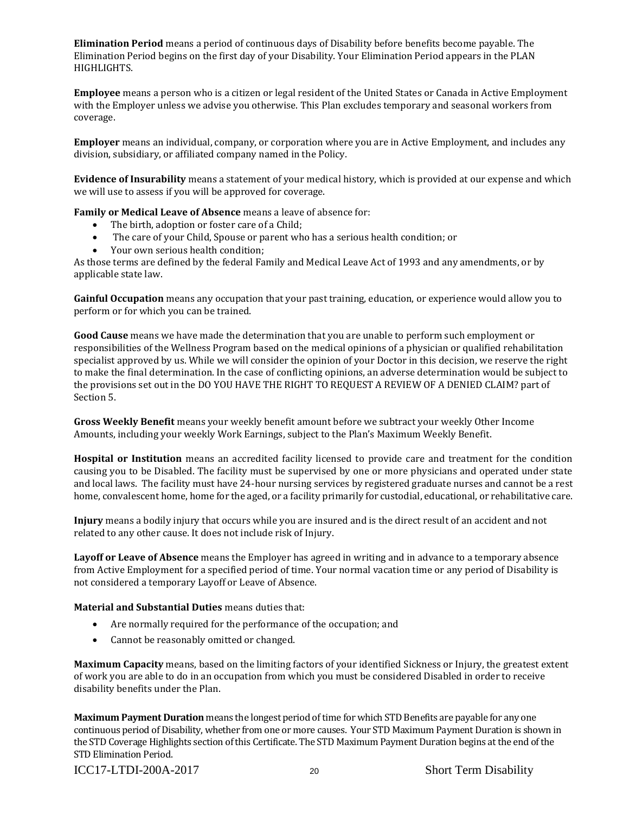**Elimination Period** means a period of continuous days of Disability before benefits become payable. The Elimination Period begins on the first day of your Disability. Your Elimination Period appears in the PLAN HIGHLIGHTS.

**Employee** means a person who is a citizen or legal resident of the United States or Canada in Active Employment with the Employer unless we advise you otherwise. This Plan excludes temporary and seasonal workers from coverage.

**Employer** means an individual, company, or corporation where you are in Active Employment, and includes any division, subsidiary, or affiliated company named in the Policy.

**Evidence of Insurability** means a statement of your medical history, which is provided at our expense and which we will use to assess if you will be approved for coverage.

**Family or Medical Leave of Absence** means a leave of absence for:

- The birth, adoption or foster care of a Child;
- The care of your Child, Spouse or parent who has a serious health condition; or
- Your own serious health condition;

As those terms are defined by the federal Family and Medical Leave Act of 1993 and any amendments, or by applicable state law.

**Gainful Occupation** means any occupation that your past training, education, or experience would allow you to perform or for which you can be trained.

**Good Cause** means we have made the determination that you are unable to perform such employment or responsibilities of the Wellness Program based on the medical opinions of a physician or qualified rehabilitation specialist approved by us. While we will consider the opinion of your Doctor in this decision, we reserve the right to make the final determination. In the case of conflicting opinions, an adverse determination would be subject to the provisions set out in the DO YOU HAVE THE RIGHT TO REQUEST A REVIEW OF A DENIED CLAIM? part of Section 5.

**Gross Weekly Benefit** means your weekly benefit amount before we subtract your weekly Other Income Amounts, including your weekly Work Earnings, subject to the Plan's Maximum Weekly Benefit.

**Hospital or Institution** means an accredited facility licensed to provide care and treatment for the condition causing you to be Disabled. The facility must be supervised by one or more physicians and operated under state and local laws. The facility must have 24-hour nursing services by registered graduate nurses and cannot be a rest home, convalescent home, home for the aged, or a facility primarily for custodial, educational, or rehabilitative care.

**Injury** means a bodily injury that occurs while you are insured and is the direct result of an accident and not related to any other cause. It does not include risk of Injury.

**Layoff or Leave of Absence** means the Employer has agreed in writing and in advance to a temporary absence from Active Employment for a specified period of time. Your normal vacation time or any period of Disability is not considered a temporary Layoff or Leave of Absence.

**Material and Substantial Duties** means duties that:

- Are normally required for the performance of the occupation; and
- Cannot be reasonably omitted or changed.

**Maximum Capacity** means, based on the limiting factors of your identified Sickness or Injury, the greatest extent of work you are able to do in an occupation from which you must be considered Disabled in order to receive disability benefits under the Plan.

**Maximum Payment Duration** means the longest period of time for which STD Benefits are payable for any one continuous period of Disability, whether from one or more causes. Your STD Maximum Payment Duration is shown in the STD Coverage Highlights section of this Certificate. The STD Maximum Payment Duration begins at the end of the STD Elimination Period.

ICC17-LTDI-200A-2017 <sup>20</sup> Short Term Disability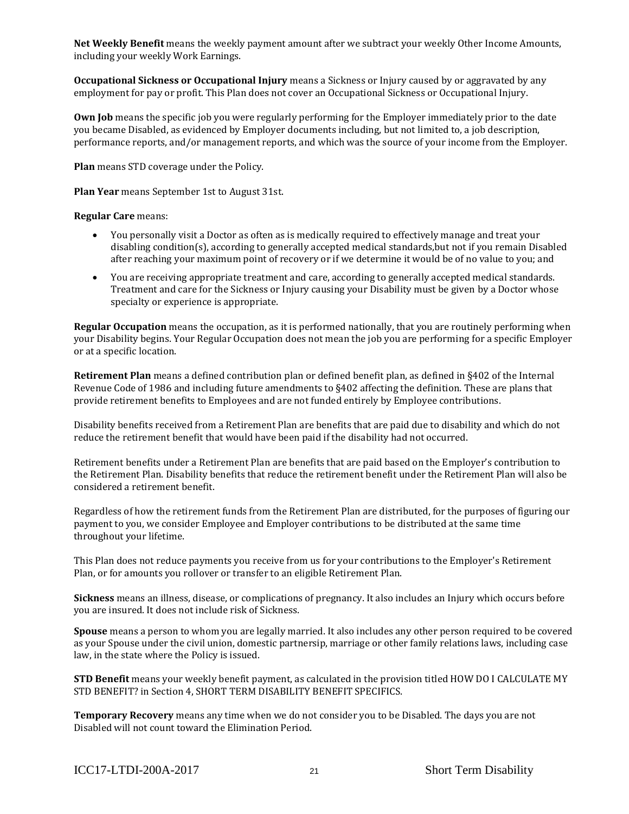**Net Weekly Benefit** means the weekly payment amount after we subtract your weekly Other Income Amounts, including your weekly Work Earnings.

**Occupational Sickness or Occupational Injury** means a Sickness or Injury caused by or aggravated by any employment for pay or profit. This Plan does not cover an Occupational Sickness or Occupational Injury.

**Own Job** means the specific job you were regularly performing for the Employer immediately prior to the date you became Disabled, as evidenced by Employer documents including, but not limited to, a job description, performance reports, and/or management reports, and which was the source of your income from the Employer.

**Plan** means STD coverage under the Policy.

**Plan Year** means September 1st to August 31st.

**Regular Care** means:

- You personally visit a Doctor as often as is medically required to effectively manage and treat your disabling condition(s), according to generally accepted medical standards,but not if you remain Disabled after reaching your maximum point of recovery or if we determine it would be of no value to you; and
- You are receiving appropriate treatment and care, according to generally accepted medical standards. Treatment and care for the Sickness or Injury causing your Disability must be given by a Doctor whose specialty or experience is appropriate.

**Regular Occupation** means the occupation, as it is performed nationally, that you are routinely performing when your Disability begins. Your Regular Occupation does not mean the job you are performing for a specific Employer or at a specific location.

**Retirement Plan** means a defined contribution plan or defined benefit plan, as defined in §402 of the Internal Revenue Code of 1986 and including future amendments to §402 affecting the definition. These are plans that provide retirement benefits to Employees and are not funded entirely by Employee contributions.

Disability benefits received from a Retirement Plan are benefits that are paid due to disability and which do not reduce the retirement benefit that would have been paid if the disability had not occurred.

Retirement benefits under a Retirement Plan are benefits that are paid based on the Employer's contribution to the Retirement Plan. Disability benefits that reduce the retirement benefit under the Retirement Plan will also be considered a retirement benefit.

Regardless of how the retirement funds from the Retirement Plan are distributed, for the purposes of figuring our payment to you, we consider Employee and Employer contributions to be distributed at the same time throughout your lifetime.

This Plan does not reduce payments you receive from us for your contributions to the Employer's Retirement Plan, or for amounts you rollover or transfer to an eligible Retirement Plan.

**Sickness** means an illness, disease, or complications of pregnancy. It also includes an Injury which occurs before you are insured. It does not include risk of Sickness.

**Spouse** means a person to whom you are legally married. It also includes any other person required to be covered as your Spouse under the civil union, domestic partnersip, marriage or other family relations laws, including case law, in the state where the Policy is issued.

**STD Benefit** means your weekly benefit payment, as calculated in the provision titled HOW DO I CALCULATE MY STD BENEFIT? in Section 4, SHORT TERM DISABILITY BENEFIT SPECIFICS.

**Temporary Recovery** means any time when we do not consider you to be Disabled. The days you are not Disabled will not count toward the Elimination Period.